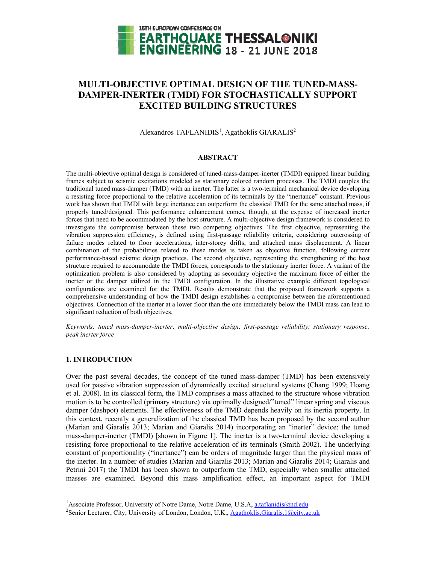

# **MULTI-OBJECTIVE OPTIMAL DESIGN OF THE TUNED-MASS-DAMPER-INERTER (TMDI) FOR STOCHASTICALLY SUPPORT EXCITED BUILDING STRUCTURES**

Alexandros TAFLANIDIS<sup>1</sup>, Agathoklis GIARALIS<sup>2</sup>

# **ABSTRACT**

The multi-objective optimal design is considered of tuned-mass-damper-inerter (TMDI) equipped linear building frames subject to seismic excitations modeled as stationary colored random processes. The TMDI couples the traditional tuned mass-damper (TMD) with an inerter. The latter is a two-terminal mechanical device developing a resisting force proportional to the relative acceleration of its terminals by the "inertance" constant. Previous work has shown that TMDI with large inertance can outperform the classical TMD for the same attached mass, if properly tuned/designed. This performance enhancement comes, though, at the expense of increased inerter forces that need to be accommodated by the host structure. A multi-objective design framework is considered to investigate the compromise between these two competing objectives. The first objective, representing the vibration suppression efficiency, is defined using first-passage reliability criteria, considering outcrossing of failure modes related to floor accelerations, inter-storey drifts, and attached mass displacement. A linear combination of the probabilities related to these modes is taken as objective function, following current performance-based seismic design practices. The second objective, representing the strengthening of the host structure required to accommodate the TMDI forces, corresponds to the stationary inerter force. A variant of the optimization problem is also considered by adopting as secondary objective the maximum force of either the inerter or the damper utilized in the TMDI configuration. In the illustrative example different topological configurations are examined for the TMDI. Results demonstrate that the proposed framework supports a comprehensive understanding of how the TMDI design establishes a compromise between the aforementioned objectives. Connection of the inerter at a lower floor than the one immediately below the TMDI mass can lead to significant reduction of both objectives.

*Keywords: tuned mass-damper-inerter; multi-objective design; first-passage reliability; stationary response; peak inerter force* 

# **1. INTRODUCTION**

l

Over the past several decades, the concept of the tuned mass-damper (TMD) has been extensively used for passive vibration suppression of dynamically excited structural systems (Chang 1999; Hoang et al. 2008). In its classical form, the TMD comprises a mass attached to the structure whose vibration motion is to be controlled (primary structure) via optimally designed/"tuned" linear spring and viscous damper (dashpot) elements. The effectiveness of the TMD depends heavily on its inertia property. In this context, recently a generalization of the classical TMD has been proposed by the second author (Marian and Giaralis 2013; Marian and Giaralis 2014) incorporating an "inerter" device: the tuned mass-damper-inerter (TMDI) [shown in Figure 1]. The inerter is a two-terminal device developing a resisting force proportional to the relative acceleration of its terminals (Smith 2002). The underlying constant of proportionality ("inertance") can be orders of magnitude larger than the physical mass of the inerter. In a number of studies (Marian and Giaralis 2013; Marian and Giaralis 2014; Giaralis and Petrini 2017) the TMDI has been shown to outperform the TMD, especially when smaller attached masses are examined. Beyond this mass amplification effect, an important aspect for TMDI

<sup>&</sup>lt;sup>1</sup> Associate Professor, University of Notre Dame, Notre Dame, U.S.A, <u>a.taflanidis@nd.edu</u><br><sup>2</sup>Sonior Legturer, City, University of London, London, U.K., Agetholdis Giorglis L@eity or

<sup>&</sup>lt;sup>2</sup>Senior Lecturer, City, University of London, London, U.K., Agathoklis.Giaralis.1@city.ac.uk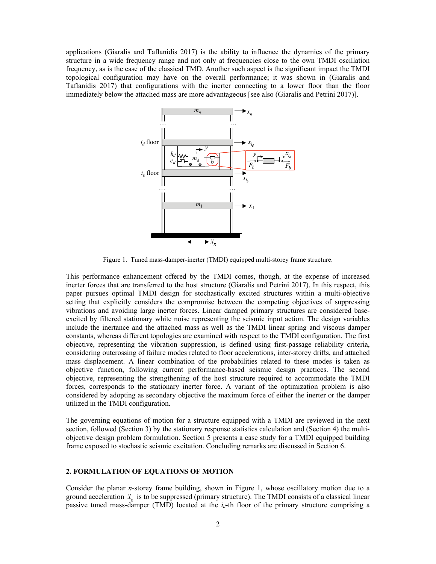applications (Giaralis and Taflanidis 2017) is the ability to influence the dynamics of the primary structure in a wide frequency range and not only at frequencies close to the own TMDI oscillation frequency, as is the case of the classical TMD. Another such aspect is the significant impact the TMDI topological configuration may have on the overall performance; it was shown in (Giaralis and Taflanidis 2017) that configurations with the inerter connecting to a lower floor than the floor immediately below the attached mass are more advantageous [see also (Giaralis and Petrini 2017)].



Figure 1. Tuned mass-damper-inerter (TMDI) equipped multi-storey frame structure.

This performance enhancement offered by the TMDI comes, though, at the expense of increased inerter forces that are transferred to the host structure (Giaralis and Petrini 2017). In this respect, this paper pursues optimal TMDI design for stochastically excited structures within a multi-objective setting that explicitly considers the compromise between the competing objectives of suppressing vibrations and avoiding large inerter forces. Linear damped primary structures are considered baseexcited by filtered stationary white noise representing the seismic input action. The design variables include the inertance and the attached mass as well as the TMDI linear spring and viscous damper constants, whereas different topologies are examined with respect to the TMDI configuration. The first objective, representing the vibration suppression, is defined using first-passage reliability criteria, considering outcrossing of failure modes related to floor accelerations, inter-storey drifts, and attached mass displacement. A linear combination of the probabilities related to these modes is taken as objective function, following current performance-based seismic design practices. The second objective, representing the strengthening of the host structure required to accommodate the TMDI forces, corresponds to the stationary inerter force. A variant of the optimization problem is also considered by adopting as secondary objective the maximum force of either the inerter or the damper utilized in the TMDI configuration.

The governing equations of motion for a structure equipped with a TMDI are reviewed in the next section, followed (Section 3) by the stationary response statistics calculation and (Section 4) the multiobjective design problem formulation. Section 5 presents a case study for a TMDI equipped building frame exposed to stochastic seismic excitation. Concluding remarks are discussed in Section 6.

# **2. FORMULATION OF EQUATIONS OF MOTION**

Consider the planar *n-*storey frame building, shown in Figure 1, whose oscillatory motion due to a ground acceleration  $\ddot{x}_g$  is to be suppressed (primary structure). The TMDI consists of a classical linear passive tuned mass-damper (TMD) located at the *i<sub>d</sub>*-th floor of the primary structure comprising a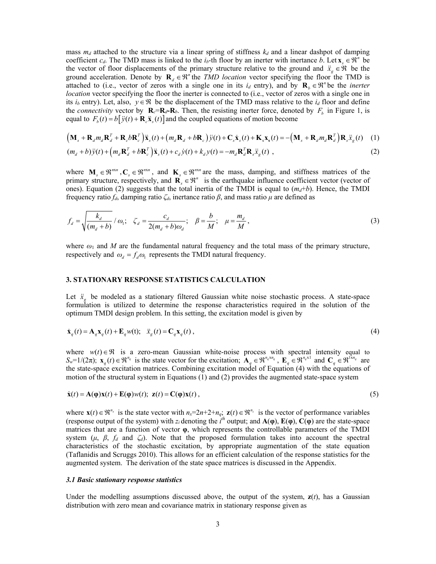mass  $m_d$  attached to the structure via a linear spring of stiffness  $k_d$  and a linear dashpot of damping coefficient  $c_d$ . The TMD mass is linked to the  $i_b$ -th floor by an inerter with inertance *b*. Let  $\mathbf{x}_s \in \mathbb{R}^n$  be the vector of floor displacements of the primary structure relative to the ground and  $\ddot{x}_e \in \mathcal{R}$  be the ground acceleration. Denote by  $\mathbf{R}_d \in \mathbb{R}^n$  the *TMD location* vector specifying the floor the TMD is attached to (i.e., vector of zeros with a single one in its  $i_d$  entry), and by  $\mathbf{R}_b \in \mathbb{R}^n$  be the *inerter location* vector specifying the floor the inerter is connected to (i.e., vector of zeros with a single one in its *i<sub>b</sub>* entry). Let, also,  $y \in \mathcal{R}$  be the displacement of the TMD mass relative to the *i<sub>d</sub>* floor and define the *connectivity* vector by  $\mathbf{R}_c = \mathbf{R}_d - \mathbf{R}_b$ . Then, the resisting inerter force, denoted by  $F_b$  in Figure 1, is equal to  $F_b(t) = b[\ddot{y}(t) + \mathbf{R}_s \ddot{x}_s(t)]$  and the coupled equations of motion become

$$
\left(\mathbf{M}_{s} + \mathbf{R}_{d}m_{d}\mathbf{R}_{d}^{T} + \mathbf{R}_{c}b\mathbf{R}_{c}^{T}\right)\ddot{\mathbf{x}}_{s}(t) + \left(m_{d}\mathbf{R}_{d} + b\mathbf{R}_{c}\right)\ddot{y}(t) + \mathbf{C}_{s}\dot{\mathbf{x}}_{s}(t) + \mathbf{K}_{s}\mathbf{x}_{s}(t) = -\left(\mathbf{M}_{s} + \mathbf{R}_{d}m_{d}\mathbf{R}_{d}^{T}\right)\mathbf{R}_{s}\ddot{\mathbf{x}}_{g}(t) \quad (1)
$$
\n
$$
(m_{d} + b)\ddot{y}(t) + \left(m_{d}\mathbf{R}_{d}^{T} + b\mathbf{R}_{c}^{T}\right)\ddot{\mathbf{x}}_{s}(t) + c_{d}\dot{y}(t) + k_{d}y(t) = -m_{d}\mathbf{R}_{d}^{T}\mathbf{R}_{s}\ddot{\mathbf{x}}_{g}(t) \quad (2)
$$

where  $M_s \in \mathbb{R}^{n \times n}$ ,  $C_s \in \mathbb{R}^{n \times n}$ , and  $K_s \in \mathbb{R}^{n \times n}$  are the mass, damping, and stiffness matrices of the primary structure, respectively, and  $\mathbf{R}_s \in \mathbb{R}^n$  is the earthquake influence coefficient vector (vector of ones). Equation (2) suggests that the total inertia of the TMDI is equal to  $(m_d+b)$ . Hence, the TMDI frequency ratio *fd*, damping ratio *ζd*, inertance ratio *β*, and mass ratio *μ* are defined as

$$
f_d = \sqrt{\frac{k_d}{(m_d + b)}} / \omega_1; \quad \zeta_d = \frac{c_d}{2(m_d + b)\omega_d}; \quad \beta = \frac{b}{M}; \quad \mu = \frac{m_d}{M}, \tag{3}
$$

where  $\omega_1$  and *M* are the fundamental natural frequency and the total mass of the primary structure, respectively and  $\omega_d = f_d \omega_l$  represents the TMDI natural frequency.

## **3. STATIONARY RESPONSE STATISTICS CALCULATION**

Let  $\ddot{x}_s$  be modeled as a stationary filtered Gaussian white noise stochastic process. A state-space formulation is utilized to determine the response characteristics required in the solution of the optimum TMDI design problem. In this setting, the excitation model is given by

$$
\dot{\mathbf{x}}_q(t) = \mathbf{A}_q \mathbf{x}_q(t) + \mathbf{E}_q w(t); \quad \ddot{x}_s(t) = \mathbf{C}_q \mathbf{x}_q(t) \,, \tag{4}
$$

where  $w(t) \in \Re$  is a zero-mean Gaussian white-noise process with spectral intensity equal to  $S_w=1/(2\pi);$   $\mathbf{x}_q(t) \in \mathbb{R}^{n_q}$  is the state vector for the excitation;  $\mathbf{A}_q \in \mathbb{R}^{n_q \times n_q}$ ,  $\mathbf{E}_q \in \mathbb{R}^{n_q \times 1}$  and  $\mathbf{C}_q \in \mathbb{R}^{1 \times n_q}$  are the state-space excitation matrices. Combining excitation model of Equation (4) with the equations of motion of the structural system in Equations (1) and (2) provides the augmented state-space system

$$
\dot{\mathbf{x}}(t) = \mathbf{A}(\mathbf{\varphi})\mathbf{x}(t) + \mathbf{E}(\mathbf{\varphi})w(t); \ \mathbf{z}(t) = \mathbf{C}(\mathbf{\varphi})\mathbf{x}(t) \,, \tag{5}
$$

where  $\mathbf{x}(t) \in \mathbb{R}^{n_x}$  is the state vector with  $n_x=2n+2+n_q$ ;  $\mathbf{z}(t) \in \mathbb{R}^{n_z}$  is the vector of performance variables (response output of the system) with  $z_i$  denoting the  $i^{th}$  output; and  $A(\varphi)$ ,  $E(\varphi)$ ,  $C(\varphi)$  are the state-space matrices that are a function of vector **φ**, which represents the controllable parameters of the TMDI system ( $\mu$ ,  $\beta$ ,  $f_d$  and  $\zeta_d$ ). Note that the proposed formulation takes into account the spectral characteristics of the stochastic excitation, by appropriate augmentation of the state equation (Taflanidis and Scruggs 2010). This allows for an efficient calculation of the response statistics for the augmented system. The derivation of the state space matrices is discussed in the Appendix.

## *3.1 Basic stationary response statistics*

Under the modelling assumptions discussed above, the output of the system,  $z(t)$ , has a Gaussian distribution with zero mean and covariance matrix in stationary response given as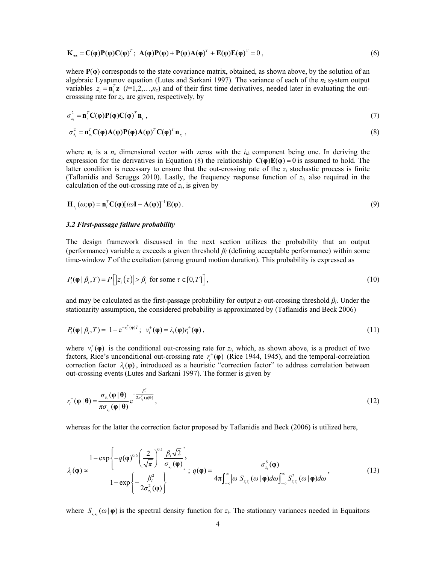$$
\mathbf{K}_{zz} = \mathbf{C}(\boldsymbol{\phi}) \mathbf{P}(\boldsymbol{\phi}) \mathbf{C}(\boldsymbol{\phi})^T; \ \mathbf{A}(\boldsymbol{\phi}) \mathbf{P}(\boldsymbol{\phi}) + \mathbf{P}(\boldsymbol{\phi}) \mathbf{A}(\boldsymbol{\phi})^T + \mathbf{E}(\boldsymbol{\phi}) \mathbf{E}(\boldsymbol{\phi})^T = 0 \,, \tag{6}
$$

where **P**(**φ**) corresponds to the state covariance matrix, obtained, as shown above, by the solution of an algebraic Lyapunov equation (Lutes and Sarkani 1997). The variance of each of the *nz* system output variables  $z_i = \mathbf{n}_i^T \mathbf{z}$  (*i*=1,2,...,*n<sub>z</sub>*) and of their first time derivatives, needed later in evaluating the outcrosssing rate for *zi*, are given, respectively, by

$$
\sigma_{z_i}^2 = \mathbf{n}_i^T \mathbf{C}(\mathbf{\varphi}) \mathbf{P}(\mathbf{\varphi}) \mathbf{C}(\mathbf{\varphi})^T \mathbf{n}_i , \qquad (7)
$$

$$
\sigma_{z_i}^2 = \mathbf{n}_{z_i}^T \mathbf{C}(\mathbf{\varphi}) \mathbf{A}(\mathbf{\varphi}) \mathbf{P}(\mathbf{\varphi}) \mathbf{A}(\mathbf{\varphi})^T \mathbf{C}(\mathbf{\varphi})^T \mathbf{n}_{z_i},
$$
\n(8)

where  $\mathbf{n}_i$  is a  $n_z$  dimensional vector with zeros with the  $i_{th}$  component being one. In deriving the expression for the derivatives in Equation (8) the relationship  $\mathbf{C}(\varphi)\mathbf{E}(\varphi) = 0$  is assumed to hold. The latter condition is necessary to ensure that the out-crossing rate of the  $z_i$  stochastic process is finite (Taflanidis and Scruggs 2010). Lastly, the frequency response function of *zi*, also required in the calculation of the out-crossing rate of *zi*, is given by

$$
\mathbf{H}_{z_i}(\omega;\boldsymbol{\varphi}) = \mathbf{n}_i^T \mathbf{C}(\boldsymbol{\varphi}) [i\omega \mathbf{I} - \mathbf{A}(\boldsymbol{\varphi})]^{-1} \mathbf{E}(\boldsymbol{\varphi}).
$$
\n(9)

## *3.2 First-passage failure probability*

The design framework discussed in the next section utilizes the probability that an output (performance) variable *zi* exceeds a given threshold *βi* (defining acceptable performance) within some time-window *T* of the excitation (strong ground motion duration). This probability is expressed as

$$
P_i(\mathbf{\varphi} \mid \beta_i, T) = P\Big[\Big|z_i\big(\tau\Big)\Big| > \beta_i \text{ for some } \tau \in [0, T]\Big],\tag{10}
$$

and may be calculated as the first-passage probability for output *zi* out-crossing threshold *βi*. Under the stationarity assumption, the considered probability is approximated by (Taflanidis and Beck 2006)

$$
P_i(\mathbf{\varphi} \mid \beta_i, T) = 1 - e^{-v_i^+(\mathbf{\varphi})T}; \ \ v_i^+(\mathbf{\varphi}) = \lambda_i(\mathbf{\varphi})r_i^+(\mathbf{\varphi}), \tag{11}
$$

where  $v_i^*(\varphi)$  is the conditional out-crossing rate for  $z_i$ , which, as shown above, is a product of two factors, Rice's unconditional out-crossing rate  $r_i^{\dagger}(\phi)$  (Rice 1944, 1945), and the temporal-correlation correction factor  $\lambda_i(\phi)$ , introduced as a heuristic "correction factor" to address correlation between out-crossing events (Lutes and Sarkani 1997). The former is given by

$$
r_i^+(\mathbf{\varphi} \,|\, \boldsymbol{\theta}) = \frac{\sigma_{z_i}(\mathbf{\varphi} \,|\, \boldsymbol{\theta})}{\pi \sigma_{z_i}(\mathbf{\varphi} \,|\, \boldsymbol{\theta})} e^{-\frac{\beta_i^2}{2 \sigma_{z_i}^2(\mathbf{\varphi} \,|\, \boldsymbol{\theta})}},\tag{12}
$$

whereas for the latter the correction factor proposed by Taflanidis and Beck (2006) is utilized here,

$$
\lambda_{i}(\mathbf{\varphi}) \approx \frac{1 - \exp\left\{-q(\mathbf{\varphi})^{0.6}\left(\frac{2}{\sqrt{\pi}}\right)^{0.1}\frac{\beta_{i}\sqrt{2}}{\sigma_{z_{i}}(\mathbf{\varphi})}\right\}}{1 - \exp\left\{-\frac{\beta_{i}^{2}}{2\sigma_{z_{i}}^{2}(\mathbf{\varphi})}\right\}}; \ q(\mathbf{\varphi}) = \frac{\sigma_{z_{i}}^{6}(\mathbf{\varphi})}{4\pi \int_{-\infty}^{\infty} |\omega| S_{z_{i}z_{i}}(\omega \,|\, \mathbf{\varphi}) d\omega \int_{-\infty}^{\infty} S_{z_{i}z_{i}}^{2}(\omega \,|\, \mathbf{\varphi}) d\omega}, \qquad (13)
$$

where  $S_{zz}(\omega | \phi)$  is the spectral density function for  $z_i$ . The stationary variances needed in Equaitons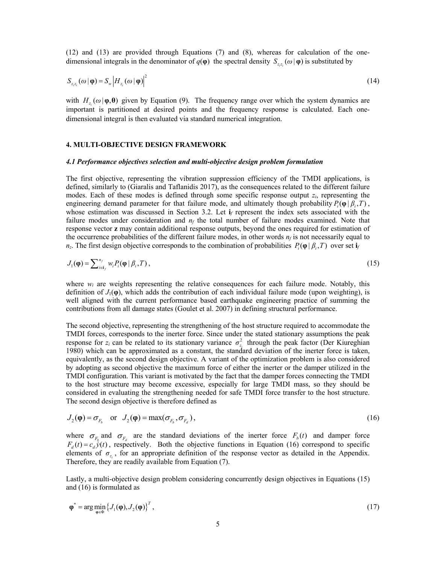(12) and (13) are provided through Equations (7) and (8), whereas for calculation of the onedimensional integrals in the denominator of  $q(\varphi)$  the spectral density  $S_{zz}(\omega|\varphi)$  is substituted by

$$
S_{z_{i}z_{i}}\left(\omega\,|\,\varphi\right)=S_{w}\left|H_{z_{i}}\left(\omega\,|\,\varphi\right)\right|^{2}\tag{14}
$$

with  $H_{z_i}(\omega | \varphi, \theta)$  given by Equation (9). The frequency range over which the system dynamics are important is partitioned at desired points and the frequency response is calculated. Each onedimensional integral is then evaluated via standard numerical integration.

## **4. MULTI-OBJECTIVE DESIGN FRAMEWORK**

#### *4.1 Performance objectives selection and multi-objective design problem formulation*

The first objective, representing the vibration suppression efficiency of the TMDI applications, is defined, similarly to (Giaralis and Taflanidis 2017), as the consequences related to the different failure modes. Each of these modes is defined through some specific response output *zi*, representing the engineering demand parameter for that failure mode, and ultimately though probability  $P_i(\varphi | \beta_i, T)$ , whose estimation was discussed in Section 3.2. Let **i***f* represent the index sets associated with the failure modes under consideration and  $n_f$  the total number of failure modes examined. Note that response vector **z** may contain additional response outputs, beyond the ones required for estimation of the occurrence probabilities of the different failure modes, in other words  $n_f$  is not necessarily equal to *n<sub>z</sub>*. The first design objective corresponds to the combination of probabilities  $P_i(\phi | \beta_i, T)$  over set **i**<sub>*f*</sub>

$$
J_1(\mathbf{\varphi}) = \sum_{i \in \mathbf{i}_f}^{n_f} w_i P_i(\mathbf{\varphi} \mid \beta_i, T), \qquad (15)
$$

where  $w_i$  are weights representing the relative consequences for each failure mode. Notably, this definition of  $J_1(\phi)$ , which adds the contribution of each individual failure mode (upon weighting), is well aligned with the current performance based earthquake engineering practice of summing the contributions from all damage states (Goulet et al. 2007) in defining structural performance.

The second objective, representing the strengthening of the host structure required to accommodate the TMDI forces, corresponds to the inerter force. Since under the stated stationary assumptions the peak response for *z<sub>i</sub>* can be related to its stationary variance  $\sigma_{z_i}^2$  through the peak factor (Der Kiureghian 1980) which can be approximated as a constant, the standard deviation of the inerter force is taken, equivalently, as the second design objective. A variant of the optimization problem is also considered by adopting as second objective the maximum force of either the inerter or the damper utilized in the TMDI configuration. This variant is motivated by the fact that the damper forces connecting the TMDI to the host structure may become excessive, especially for large TMDI mass, so they should be considered in evaluating the strengthening needed for safe TMDI force transfer to the host structure. The second design objective is therefore defined as

$$
J_2(\mathbf{\varphi}) = \sigma_{F_b} \quad \text{or} \quad J_2(\mathbf{\varphi}) = \max(\sigma_{F_b}, \sigma_{F_d}), \tag{16}
$$

where  $\sigma_{F_h}$  and  $\sigma_{F_d}$  are the standard deviations of the inerter force  $F_b(t)$  and damper force  $F_d(t) = c_d \dot{\hat{y}}(t)$ , respectively. Both the objective functions in Equation (16) correspond to specific elements of  $\sigma_z$ , for an appropriate definition of the response vector as detailed in the Appendix. Therefore, they are readily available from Equation (7).

Lastly, a multi-objective design problem considering concurrently design objectives in Equations (15) and (16) is formulated as

$$
\varphi^* = \arg\min_{\varphi \in \Phi} \left\{ J_1(\varphi), J_2(\varphi) \right\}^T,
$$
\n(17)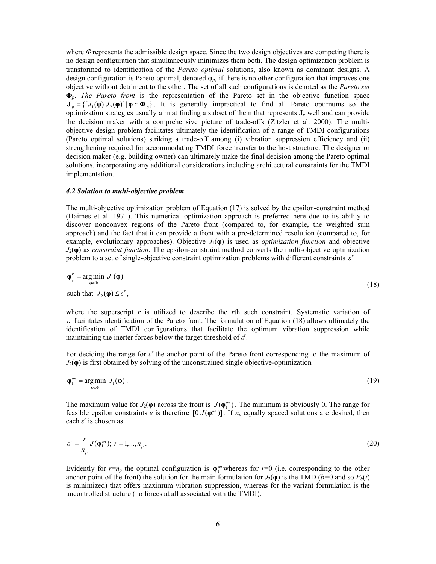where *Φ* represents the admissible design space. Since the two design objectives are competing there is no design configuration that simultaneously minimizes them both. The design optimization problem is transformed to identification of the *Pareto optimal* solutions, also known as dominant designs. A design configuration is Pareto optimal, denoted  $\varphi_p$ , if there is no other configuration that improves one objective without detriment to the other. The set of all such configurations is denoted as the *Pareto set* **Φ***p*. *The Pareto front* is the representation of the Pareto set in the objective function space  $J_p = \{ [J_1(\varphi) J_2(\varphi)] | \varphi \in \Phi_p \}$ . It is generally impractical to find all Pareto optimums so the optimization strategies usually aim at finding a subset of them that represents **J***p* well and can provide the decision maker with a comprehensive picture of trade-offs (Zitzler et al. 2000). The multiobjective design problem facilitates ultimately the identification of a range of TMDI configurations (Pareto optimal solutions) striking a trade-off among (i) vibration suppression efficiency and (ii) strengthening required for accommodating TMDI force transfer to the host structure. The designer or decision maker (e.g. building owner) can ultimately make the final decision among the Pareto optimal solutions, incorporating any additional considerations including architectural constraints for the TMDI implementation.

#### *4.2 Solution to multi-objective problem*

The multi-objective optimization problem of Equation (17) is solved by the epsilon-constraint method (Haimes et al. 1971). This numerical optimization approach is preferred here due to its ability to discover nonconvex regions of the Pareto front (compared to, for example, the weighted sum approach) and the fact that it can provide a front with a pre-determined resolution (compared to, for example, evolutionary approaches). Objective  $J_1(\varphi)$  is used as *optimization function* and objective *J*2(**φ**) as *constraint function*. The epsilon-constraint method converts the multi-objective optimization problem to a set of single-objective constraint optimization problems with different constraints  $\varepsilon$ <sup>*r*</sup>

$$
\varphi_p^r = \underset{\varphi \in \Phi}{\arg \min} \ J_1(\varphi) \tag{18}
$$
\n
$$
\text{such that } J_2(\varphi) \le \varepsilon^r,
$$

where the superscript  $r$  is utilized to describe the  $r$ th such constraint. Systematic variation of *<sup>r</sup> ε* facilitates identification of the Pareto front. The formulation of Equation (18) allows ultimately the identification of TMDI configurations that facilitate the optimum vibration suppression while maintaining the inerter forces below the target threshold of *ε r* .

For deciding the range for *ε <sup>r</sup>* the anchor point of the Pareto front corresponding to the maximum of  $J_2(\varphi)$  is first obtained by solving of the unconstrained single objective-optimization

$$
\varphi_1^{an} = \underset{\varphi \in \Phi}{\arg \min} \ J_1(\varphi) \,. \tag{19}
$$

The maximum value for  $J_2(\varphi)$  across the front is  $J(\varphi_i^{an})$ . The minimum is obviously 0. The range for feasible epsilon constraints *ε* is therefore  $[0 J(φ<sub>1</sub><sup>an</sup>)]$ . If *n<sub>p</sub>* equally spaced solutions are desired, then each *ε r* is chosen as

$$
\varepsilon^r = \frac{r}{n_p} J(\varphi_1^{an}); \ r = 1, ..., n_p \,. \tag{20}
$$

Evidently for  $r=n_p$  the optimal configuration is  $\varphi_1^{an}$  whereas for  $r=0$  (i.e. corresponding to the other anchor point of the front) the solution for the main formulation for  $J_2(\varphi)$  is the TMD (*b*=0 and so  $F_b(t)$ ) is minimized) that offers maximum vibration suppression, whereas for the variant formulation is the uncontrolled structure (no forces at all associated with the TMDI).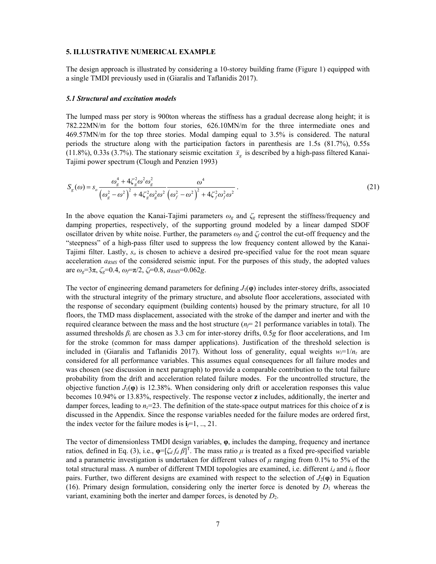#### **5. ILLUSTRATIVE NUMERICAL EXAMPLE**

The design approach is illustrated by considering a 10-storey building frame (Figure 1) equipped with a single TMDI previously used in (Giaralis and Taflanidis 2017).

# *5.1 Structural and excitation models*

The lumped mass per story is 900ton whereas the stiffness has a gradual decrease along height; it is 782.22MN/m for the bottom four stories, 626.10MN/m for the three intermediate ones and 469.57MN/m for the top three stories. Modal damping equal to 3.5% is considered. The natural periods the structure along with the participation factors in parenthesis are 1.5s (81.7%), 0.55s (11.8%), 0.33s (3.7%). The stationary seismic excitation  $\ddot{x}_e$  is described by a high-pass filtered Kanai-Tajimi power spectrum (Clough and Penzien 1993)

$$
S_{g}(\omega) = s_o \frac{\omega_g^4 + 4\zeta_g^2 \omega^2 \omega_g^2}{(\omega_g^2 - \omega^2)^2 + 4\zeta_g^2 \omega_g^2 \omega^2} \frac{\omega^4}{(\omega_f^2 - \omega^2)^2 + 4\zeta_f^2 \omega_f^2 \omega^2}.
$$
 (21)

In the above equation the Kanai-Tajimi parameters *ω<sup>g</sup>* and *ζg* represent the stiffness/frequency and damping properties, respectively, of the supporting ground modeled by a linear damped SDOF oscillator driven by white noise. Further, the parameters *ω<sup>f</sup>* and *ζf* control the cut-off frequency and the "steepness" of a high-pass filter used to suppress the low frequency content allowed by the Kanai-Tajimi filter. Lastly, *so* is chosen to achieve a desired pre-specified value for the root mean square acceleration *aRMS* of the considered seismic input. For the purposes of this study, the adopted values are *ωg*=3π, *ζg*=0.4, *ωf*=π/2, *ζf*=0.8, *aRMS*=0.062*g*.

The vector of engineering demand parameters for defining  $J_1(\phi)$  includes inter-storey drifts, associated with the structural integrity of the primary structure, and absolute floor accelerations, associated with the response of secondary equipment (building contents) housed by the primary structure, for all 10 floors, the TMD mass displacement, associated with the stroke of the damper and inerter and with the required clearance between the mass and the host structure  $(n_f=21)$  performance variables in total). The assumed thresholds *βi* are chosen as 3.3 cm for inter-storey drifts, 0.5*g* for floor accelerations, and 1m for the stroke (common for mass damper applications). Justification of the threshold selection is included in (Giaralis and Taflanidis 2017). Without loss of generality, equal weights  $w_i=1/n_z$  are considered for all performance variables. This assumes equal consequences for all failure modes and was chosen (see discussion in next paragraph) to provide a comparable contribution to the total failure probability from the drift and acceleration related failure modes. For the uncontrolled structure, the objective function  $J_1(\phi)$  is 12.38%. When considering only drift or acceleration responses this value becomes 10.94% or 13.83%, respectively. The response vector **z** includes, additionally, the inerter and damper forces, leading to  $n_z=23$ . The definition of the state-space output matrices for this choice of **z** is discussed in the Appendix. Since the response variables needed for the failure modes are ordered first, the index vector for the failure modes is  $\mathbf{i} = 1, ..., 21$ .

The vector of dimensionless TMDI design variables, **φ**, includes the damping, frequency and inertance ratios, defined in Eq. (3), i.e.,  $\varphi = [\zeta_d f_d \beta]^T$ . The mass ratio  $\mu$  is treated as a fixed pre-specified variable and a parametric investigation is undertaken for different values of  $\mu$  ranging from 0.1% to 5% of the total structural mass. A number of different TMDI topologies are examined, i.e. different *id* and *ib* floor pairs. Further, two different designs are examined with respect to the selection of  $J_2(\varphi)$  in Equation (16). Primary design formulation, considering only the inerter force is denoted by  $D_1$  whereas the variant, examining both the inerter and damper forces, is denoted by *D*2.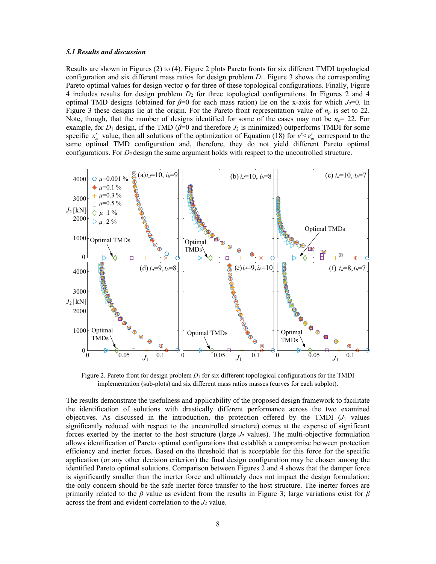## *5.1 Results and discussion*

Results are shown in Figures (2) to (4). Figure 2 plots Pareto fronts for six different TMDI topological configuration and six different mass ratios for design problem *D*1. Figure 3 shows the corresponding Pareto optimal values for design vector **φ** for three of these topological configurations. Finally, Figure 4 includes results for design problem *D*2 for three topological configurations. In Figures 2 and 4 optimal TMD designs (obtained for *β*=0 for each mass ration) lie on the x-axis for which *J2*=0. In Figure 3 these designs lie at the origin. For the Pareto front representation value of  $n_p$  is set to 22. Note, though, that the number of designs identified for some of the cases may not be  $n_p = 22$ . For example, for  $D_1$  design, if the TMD ( $\beta$ =0 and therefore  $J_2$  is minimized) outperforms TMDI for some specific  $\varepsilon_m^r$  value, then all solutions of the optimization of Equation (18) for  $\varepsilon^r < \varepsilon_m^r$  correspond to the same optimal TMD configuration and, therefore, they do not yield different Pareto optimal configurations. For *D*<sub>2</sub> design the same argument holds with respect to the uncontrolled structure.



Figure 2. Pareto front for design problem  $D_1$  for six different topological configurations for the TMDI implementation (sub-plots) and six different mass ratios masses (curves for each subplot).

The results demonstrate the usefulness and applicability of the proposed design framework to facilitate the identification of solutions with drastically different performance across the two examined objectives. As discussed in the introduction, the protection offered by the TMDI  $(J_1)$  values significantly reduced with respect to the uncontrolled structure) comes at the expense of significant forces exerted by the inerter to the host structure (large *J*2 values). The multi-objective formulation allows identification of Pareto optimal configurations that establish a compromise between protection efficiency and inerter forces. Based on the threshold that is acceptable for this force for the specific application (or any other decision criterion) the final design configuration may be chosen among the identified Pareto optimal solutions. Comparison between Figures 2 and 4 shows that the damper force is significantly smaller than the inerter force and ultimately does not impact the design formulation; the only concern should be the safe inerter force transfer to the host structure. The inerter forces are primarily related to the  $\beta$  value as evident from the results in Figure 3; large variations exist for  $\beta$ across the front and evident correlation to the  $J_2$  value.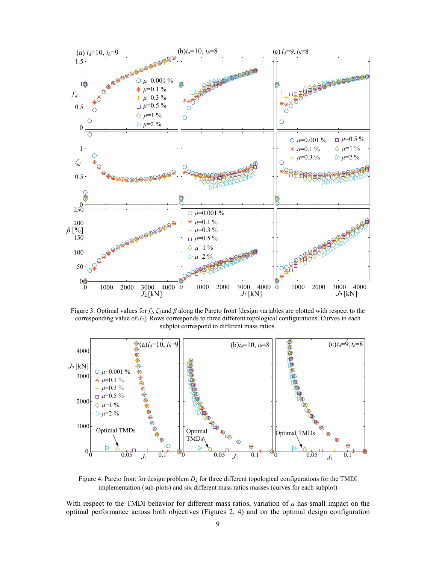

Figure 3. Optimal values for *fd*, *ζd* and *β* along the Pareto front [design variables are plotted with respect to the corresponding value of *J2*]. Rows corresponds to three different topological configurations. Curves in each subplot correspond to different mass ratios.



Figure 4. Pareto front for design problem  $D_2$  for three different topological configurations for the TMDI implementation (sub-plots) and six different mass ratios masses (curves for each subplot)

With respect to the TMDI behavior for different mass ratios, variation of  $\mu$  has small impact on the optimal performance across both objectives (Figures 2, 4) and on the optimal design configuration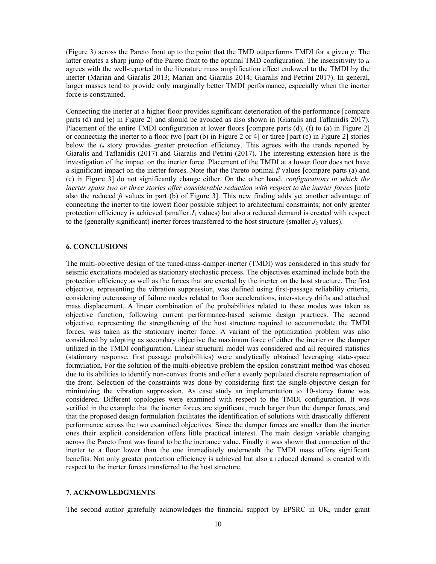(Figure 3) across the Pareto front up to the point that the TMD outperforms TMDI for a given  $\mu$ . The latter creates a sharp jump of the Pareto front to the optimal TMD configuration. The insensitivity to *μ* agrees with the well-reported in the literature mass amplification effect endowed to the TMDI by the inerter (Marian and Giaralis 2013; Marian and Giaralis 2014; Giaralis and Petrini 2017). In general, larger masses tend to provide only marginally better TMDI performance, especially when the inerter force is constrained.

Connecting the inerter at a higher floor provides significant deterioration of the performance [compare parts (d) and (e) in Figure 2] and should be avoided as also shown in (Giaralis and Taflanidis 2017). Placement of the entire TMDI configuration at lower floors [compare parts (d), (f) to (a) in Figure 2] or connecting the inerter to a floor two [part (b) in Figure 2 or 4] or three [part (c) in Figure 2] stories below the *id* story provides greater protection efficiency. This agrees with the trends reported by Giaralis and Taflanidis (2017) and Giaralis and Petrini (2017). The interesting extension here is the investigation of the impact on the inerter force. Placement of the TMDI at a lower floor does not have a significant impact on the inerter forces. Note that the Pareto optimal *β* values [compare parts (a) and (c) in Figure 3] do not significantly change either. On the other hand, *configurations in which the inerter spans two or three stories offer considerable reduction with respect to the inerter forces* [note also the reduced *β* values in part (b) of Figure 3]. This new finding adds yet another advantage of connecting the inerter to the lowest floor possible subject to architectural constraints; not only greater protection efficiency is achieved (smaller  $J_1$  values) but also a reduced demand is created with respect to the (generally significant) inerter forces transferred to the host structure (smaller  $J_2$  values).

# **6. CONCLUSIONS**

The multi-objective design of the tuned-mass-damper-inerter (TMDI) was considered in this study for seismic excitations modeled as stationary stochastic process. The objectives examined include both the protection efficiency as well as the forces that are exerted by the inerter on the host structure. The first objective, representing the vibration suppression, was defined using first-passage reliability criteria, considering outcrossing of failure modes related to floor accelerations, inter-storey drifts and attached mass displacement. A linear combination of the probabilities related to these modes was taken as objective function, following current performance-based seismic design practices. The second objective, representing the strengthening of the host structure required to accommodate the TMDI forces, was taken as the stationary inerter force. A variant of the optimization problem was also considered by adopting as secondary objective the maximum force of either the inerter or the damper utilized in the TMDI configuration. Linear structural model was considered and all required statistics (stationary response, first passage probabilities) were analytically obtained leveraging state-space formulation. For the solution of the multi-objective problem the epsilon constraint method was chosen due to its abilities to identify non-convex fronts and offer a evenly populated discrete representation of the front. Selection of the constraints was done by considering first the single-objective design for minimizing the vibration suppression. As case study an implementation to 10-storey frame was considered. Different topologies were examined with respect to the TMDI configuration. It was verified in the example that the inerter forces are significant, much larger than the damper forces, and that the proposed design formulation facilitates the identification of solutions with drastically different performance across the two examined objectives. Since the damper forces are smaller than the inerter ones their explicit consideration offers little practical interest. The main design variable changing across the Pareto front was found to be the inertance value. Finally it was shown that connection of the inerter to a floor lower than the one immediately underneath the TMDI mass offers significant benefits. Not only greater protection efficiency is achieved but also a reduced demand is created with respect to the inerter forces transferred to the host structure.

# **7. ACKNOWLEDGMENTS**

The second author gratefully acknowledges the financial support by EPSRC in UK, under grant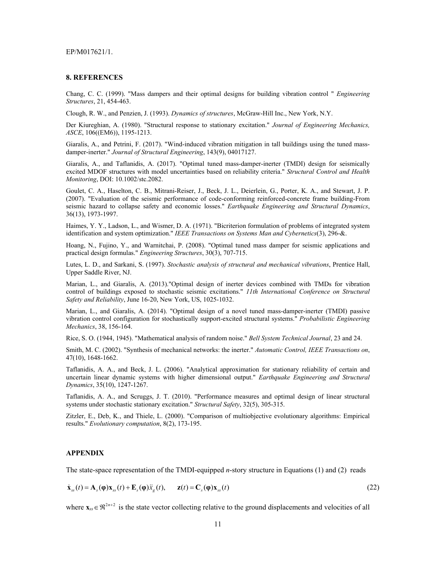### EP/M017621/1.

#### **8. REFERENCES**

Chang, C. C. (1999). "Mass dampers and their optimal designs for building vibration control " *Engineering Structures*, 21, 454-463.

Clough, R. W., and Penzien, J. (1993). *Dynamics of structures*, McGraw-Hill Inc., New York, N.Y.

Der Kiureghian, A. (1980). "Structural response to stationary excitation." *Journal of Engineering Mechanics, ASCE*, 106((EM6)), 1195-1213.

Giaralis, A., and Petrini, F. (2017). "Wind-induced vibration mitigation in tall buildings using the tuned massdamper-inerter." *Journal of Structural Engineering*, 143(9), 04017127.

Giaralis, A., and Taflanidis, A. (2017). "Optimal tuned mass-damper-inerter (TMDI) design for seismically excited MDOF structures with model uncertainties based on reliability criteria." *Structural Control and Health Monitoring*, DOI: 10.1002/stc.2082.

Goulet, C. A., Haselton, C. B., Mitrani-Reiser, J., Beck, J. L., Deierlein, G., Porter, K. A., and Stewart, J. P. (2007). "Evaluation of the seismic performance of code-conforming reinforced-concrete frame building-From seismic hazard to collapse safety and economic losses." *Earthquake Engineering and Structural Dynamics*, 36(13), 1973-1997.

Haimes, Y. Y., Ladson, L., and Wismer, D. A. (1971). "Bicriterion formulation of problems of integrated system identification and system optimization." *IEEE Transactions on Systems Man and Cybernetics*(3), 296-&.

Hoang, N., Fujino, Y., and Warnitchai, P. (2008). "Optimal tuned mass damper for seismic applications and practical design formulas." *Engineering Structures*, 30(3), 707-715.

Lutes, L. D., and Sarkani, S. (1997). *Stochastic analysis of structural and mechanical vibrations*, Prentice Hall, Upper Saddle River, NJ.

Marian, L., and Giaralis, A. (2013)."Optimal design of inerter devices combined with TMDs for vibration control of buildings exposed to stochastic seismic excitations." *11th International Conference on Structural Safety and Reliability*, June 16-20, New York, US, 1025-1032.

Marian, L., and Giaralis, A. (2014). "Optimal design of a novel tuned mass-damper-inerter (TMDI) passive vibration control configuration for stochastically support-excited structural systems." *Probabilistic Engineering Mechanics*, 38, 156-164.

Rice, S. O. (1944, 1945). "Mathematical analysis of random noise." *Bell System Technical Journal*, 23 and 24.

Smith, M. C. (2002). "Synthesis of mechanical networks: the inerter." *Automatic Control, IEEE Transactions on*, 47(10), 1648-1662.

Taflanidis, A. A., and Beck, J. L. (2006). "Analytical approximation for stationary reliability of certain and uncertain linear dynamic systems with higher dimensional output." *Earthquake Engineering and Structural Dynamics*, 35(10), 1247-1267.

Taflanidis, A. A., and Scruggs, J. T. (2010). "Performance measures and optimal design of linear structural systems under stochastic stationary excitation." *Structural Safety*, 32(5), 305-315.

Zitzler, E., Deb, K., and Thiele, L. (2000). "Comparison of multiobjective evolutionary algorithms: Empirical results." *Evolutionary computation*, 8(2), 173-195.

#### **APPENDIX**

The state-space representation of the TMDI-equipped *n*-story structure in Equations (1) and (2) reads

$$
\dot{\mathbf{x}}_{ss}(t) = \mathbf{A}_s(\mathbf{\varphi})\mathbf{x}_{ss}(t) + \mathbf{E}_s(\mathbf{\varphi})\ddot{x}_s(t), \quad \mathbf{z}(t) = \mathbf{C}_s(\mathbf{\varphi})\mathbf{x}_{ss}(t)
$$
\n(22)

where  $\mathbf{x}_{ss} \in \mathbb{R}^{2n+2}$  is the state vector collecting relative to the ground displacements and velocities of all